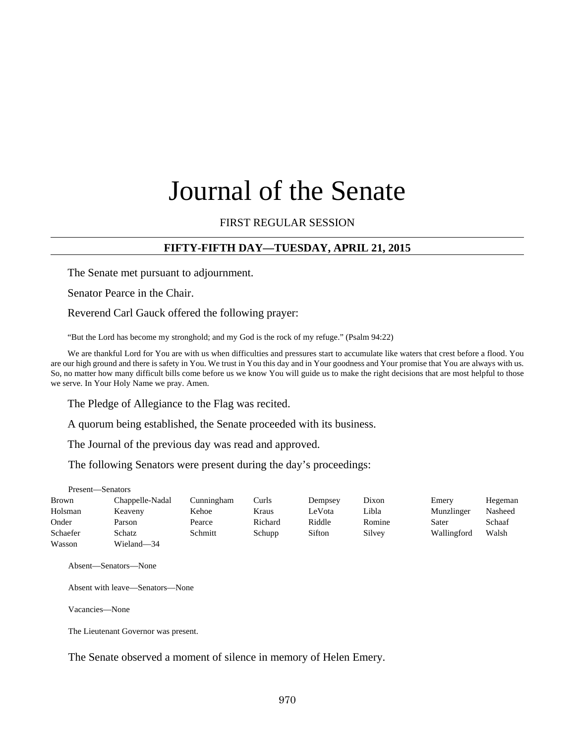# Journal of the Senate

## FIRST REGULAR SESSION

## **FIFTY-FIFTH DAY—TUESDAY, APRIL 21, 2015**

The Senate met pursuant to adjournment.

Senator Pearce in the Chair.

Reverend Carl Gauck offered the following prayer:

"But the Lord has become my stronghold; and my God is the rock of my refuge." (Psalm 94:22)

We are thankful Lord for You are with us when difficulties and pressures start to accumulate like waters that crest before a flood. You are our high ground and there is safety in You. We trust in You this day and in Your goodness and Your promise that You are always with us. So, no matter how many difficult bills come before us we know You will guide us to make the right decisions that are most helpful to those we serve. In Your Holy Name we pray. Amen.

The Pledge of Allegiance to the Flag was recited.

A quorum being established, the Senate proceeded with its business.

The Journal of the previous day was read and approved.

The following Senators were present during the day's proceedings:

Present—Senators

| Brown    | Chappelle-Nadal | Cunningham | Curls   | Dempsey | Dixon  | Emery       | Hegeman |
|----------|-----------------|------------|---------|---------|--------|-------------|---------|
| Holsman  | Keaveny         | Kehoe      | Kraus   | LeVota  | Libla  | Munzlinger  | Nasheed |
| Onder    | Parson          | Pearce     | Richard | Riddle  | Romine | Sater       | Schaaf  |
| Schaefer | Schatz          | Schmitt    | Schupp  | Sifton  | Silvey | Wallingford | Walsh   |
| Wasson   | Wieland-34      |            |         |         |        |             |         |

Absent—Senators—None

Absent with leave—Senators—None

Vacancies—None

The Lieutenant Governor was present.

The Senate observed a moment of silence in memory of Helen Emery.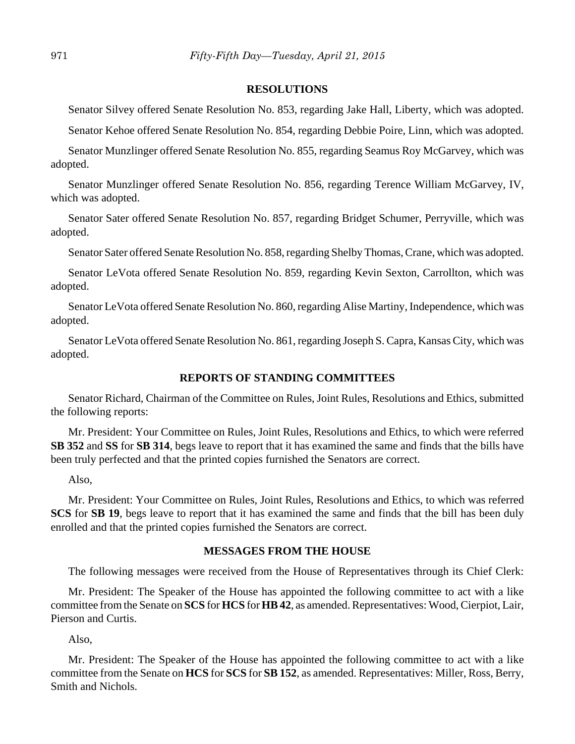#### **RESOLUTIONS**

Senator Silvey offered Senate Resolution No. 853, regarding Jake Hall, Liberty, which was adopted.

Senator Kehoe offered Senate Resolution No. 854, regarding Debbie Poire, Linn, which was adopted.

Senator Munzlinger offered Senate Resolution No. 855, regarding Seamus Roy McGarvey, which was adopted.

Senator Munzlinger offered Senate Resolution No. 856, regarding Terence William McGarvey, IV, which was adopted.

Senator Sater offered Senate Resolution No. 857, regarding Bridget Schumer, Perryville, which was adopted.

Senator Sater offered Senate Resolution No. 858, regarding Shelby Thomas, Crane, which was adopted.

Senator LeVota offered Senate Resolution No. 859, regarding Kevin Sexton, Carrollton, which was adopted.

Senator LeVota offered Senate Resolution No. 860, regarding Alise Martiny, Independence, which was adopted.

Senator LeVota offered Senate Resolution No. 861, regarding Joseph S. Capra, Kansas City, which was adopted.

## **REPORTS OF STANDING COMMITTEES**

Senator Richard, Chairman of the Committee on Rules, Joint Rules, Resolutions and Ethics, submitted the following reports:

Mr. President: Your Committee on Rules, Joint Rules, Resolutions and Ethics, to which were referred **SB 352** and **SS** for **SB 314**, begs leave to report that it has examined the same and finds that the bills have been truly perfected and that the printed copies furnished the Senators are correct.

Also,

Mr. President: Your Committee on Rules, Joint Rules, Resolutions and Ethics, to which was referred **SCS** for **SB 19**, begs leave to report that it has examined the same and finds that the bill has been duly enrolled and that the printed copies furnished the Senators are correct.

#### **MESSAGES FROM THE HOUSE**

The following messages were received from the House of Representatives through its Chief Clerk:

Mr. President: The Speaker of the House has appointed the following committee to act with a like committee from the Senate on **SCS** for **HCS** for **HB 42**, as amended. Representatives: Wood, Cierpiot, Lair, Pierson and Curtis.

Also,

Mr. President: The Speaker of the House has appointed the following committee to act with a like committee from the Senate on **HCS** for **SCS** for **SB 152**, as amended. Representatives: Miller, Ross, Berry, Smith and Nichols.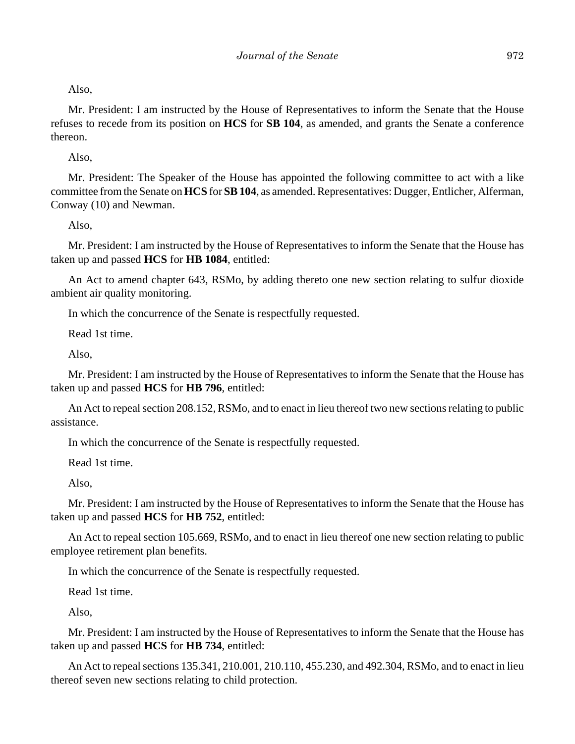Also,

Mr. President: I am instructed by the House of Representatives to inform the Senate that the House refuses to recede from its position on **HCS** for **SB 104**, as amended, and grants the Senate a conference thereon.

Also,

Mr. President: The Speaker of the House has appointed the following committee to act with a like committee from the Senate on **HCS** for **SB 104**, as amended. Representatives: Dugger, Entlicher, Alferman, Conway (10) and Newman.

Also,

Mr. President: I am instructed by the House of Representatives to inform the Senate that the House has taken up and passed **HCS** for **HB 1084**, entitled:

An Act to amend chapter 643, RSMo, by adding thereto one new section relating to sulfur dioxide ambient air quality monitoring.

In which the concurrence of the Senate is respectfully requested.

Read 1st time.

Also,

Mr. President: I am instructed by the House of Representatives to inform the Senate that the House has taken up and passed **HCS** for **HB 796**, entitled:

An Act to repeal section 208.152, RSMo, and to enact in lieu thereof two new sections relating to public assistance.

In which the concurrence of the Senate is respectfully requested.

Read 1st time.

Also,

Mr. President: I am instructed by the House of Representatives to inform the Senate that the House has taken up and passed **HCS** for **HB 752**, entitled:

An Act to repeal section 105.669, RSMo, and to enact in lieu thereof one new section relating to public employee retirement plan benefits.

In which the concurrence of the Senate is respectfully requested.

Read 1st time.

Also,

Mr. President: I am instructed by the House of Representatives to inform the Senate that the House has taken up and passed **HCS** for **HB 734**, entitled:

An Act to repeal sections 135.341, 210.001, 210.110, 455.230, and 492.304, RSMo, and to enact in lieu thereof seven new sections relating to child protection.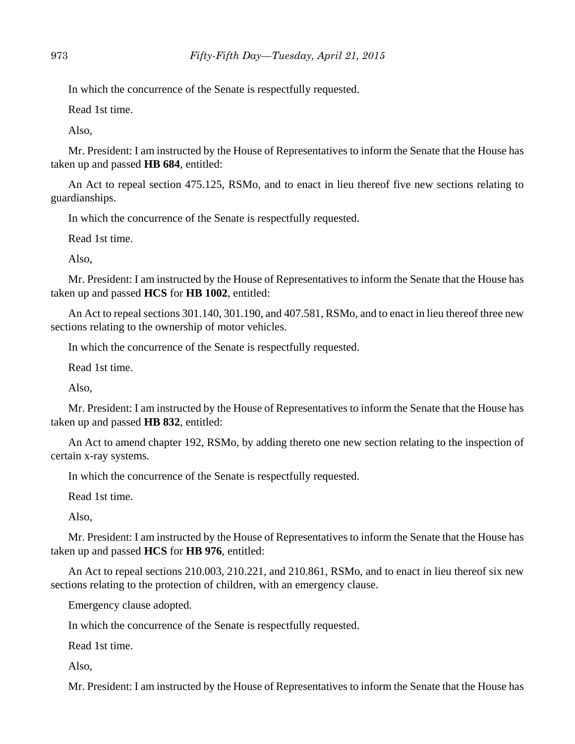In which the concurrence of the Senate is respectfully requested.

Read 1st time.

Also,

Mr. President: I am instructed by the House of Representatives to inform the Senate that the House has taken up and passed **HB 684**, entitled:

An Act to repeal section 475.125, RSMo, and to enact in lieu thereof five new sections relating to guardianships.

In which the concurrence of the Senate is respectfully requested.

Read 1st time.

Also,

Mr. President: I am instructed by the House of Representatives to inform the Senate that the House has taken up and passed **HCS** for **HB 1002**, entitled:

An Act to repeal sections 301.140, 301.190, and 407.581, RSMo, and to enact in lieu thereof three new sections relating to the ownership of motor vehicles.

In which the concurrence of the Senate is respectfully requested.

Read 1st time.

Also,

Mr. President: I am instructed by the House of Representatives to inform the Senate that the House has taken up and passed **HB 832**, entitled:

An Act to amend chapter 192, RSMo, by adding thereto one new section relating to the inspection of certain x-ray systems.

In which the concurrence of the Senate is respectfully requested.

Read 1st time.

Also,

Mr. President: I am instructed by the House of Representatives to inform the Senate that the House has taken up and passed **HCS** for **HB 976**, entitled:

An Act to repeal sections 210.003, 210.221, and 210.861, RSMo, and to enact in lieu thereof six new sections relating to the protection of children, with an emergency clause.

Emergency clause adopted.

In which the concurrence of the Senate is respectfully requested.

Read 1st time.

Also,

Mr. President: I am instructed by the House of Representatives to inform the Senate that the House has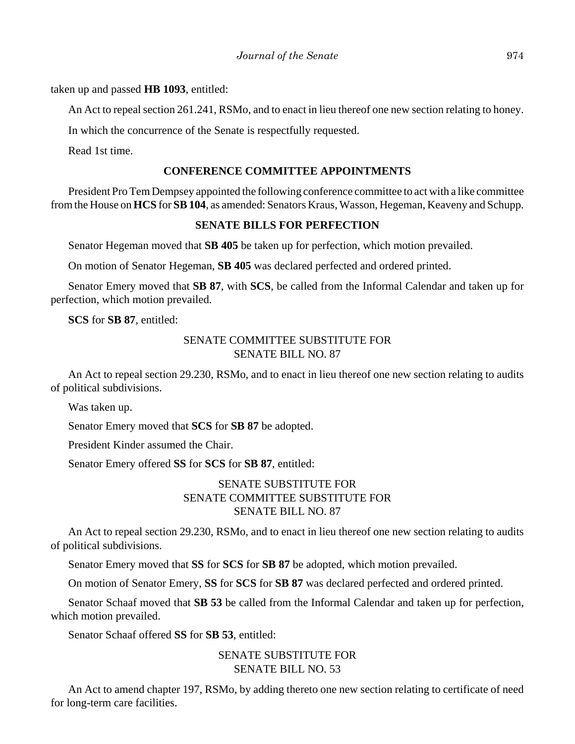taken up and passed **HB 1093**, entitled:

An Act to repeal section 261.241, RSMo, and to enact in lieu thereof one new section relating to honey.

In which the concurrence of the Senate is respectfully requested.

Read 1st time.

## **CONFERENCE COMMITTEE APPOINTMENTS**

President Pro Tem Dempsey appointed the following conference committee to act with a like committee from the House on **HCS** for **SB 104**, as amended: Senators Kraus, Wasson, Hegeman, Keaveny and Schupp.

## **SENATE BILLS FOR PERFECTION**

Senator Hegeman moved that **SB 405** be taken up for perfection, which motion prevailed.

On motion of Senator Hegeman, **SB 405** was declared perfected and ordered printed.

Senator Emery moved that **SB 87**, with **SCS**, be called from the Informal Calendar and taken up for perfection, which motion prevailed.

**SCS** for **SB 87**, entitled:

## SENATE COMMITTEE SUBSTITUTE FOR SENATE BILL NO. 87

An Act to repeal section 29.230, RSMo, and to enact in lieu thereof one new section relating to audits of political subdivisions.

Was taken up.

Senator Emery moved that **SCS** for **SB 87** be adopted.

President Kinder assumed the Chair.

Senator Emery offered **SS** for **SCS** for **SB 87**, entitled:

## SENATE SUBSTITUTE FOR SENATE COMMITTEE SUBSTITUTE FOR SENATE BILL NO. 87

An Act to repeal section 29.230, RSMo, and to enact in lieu thereof one new section relating to audits of political subdivisions.

Senator Emery moved that **SS** for **SCS** for **SB 87** be adopted, which motion prevailed.

On motion of Senator Emery, **SS** for **SCS** for **SB 87** was declared perfected and ordered printed.

Senator Schaaf moved that **SB 53** be called from the Informal Calendar and taken up for perfection, which motion prevailed.

Senator Schaaf offered **SS** for **SB 53**, entitled:

## SENATE SUBSTITUTE FOR SENATE BILL NO. 53

An Act to amend chapter 197, RSMo, by adding thereto one new section relating to certificate of need for long-term care facilities.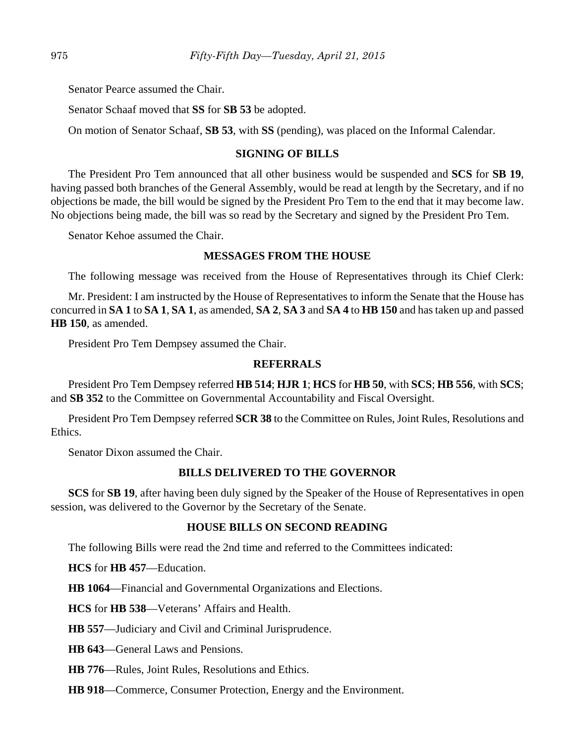Senator Pearce assumed the Chair.

Senator Schaaf moved that **SS** for **SB 53** be adopted.

On motion of Senator Schaaf, **SB 53**, with **SS** (pending), was placed on the Informal Calendar.

## **SIGNING OF BILLS**

The President Pro Tem announced that all other business would be suspended and **SCS** for **SB 19**, having passed both branches of the General Assembly, would be read at length by the Secretary, and if no objections be made, the bill would be signed by the President Pro Tem to the end that it may become law. No objections being made, the bill was so read by the Secretary and signed by the President Pro Tem.

Senator Kehoe assumed the Chair.

## **MESSAGES FROM THE HOUSE**

The following message was received from the House of Representatives through its Chief Clerk:

Mr. President: I am instructed by the House of Representatives to inform the Senate that the House has concurred in **SA 1** to **SA 1**, **SA 1**, as amended, **SA 2**, **SA 3** and **SA 4** to **HB 150** and has taken up and passed **HB 150**, as amended.

President Pro Tem Dempsey assumed the Chair.

## **REFERRALS**

President Pro Tem Dempsey referred **HB 514**; **HJR 1**; **HCS** for **HB 50**, with **SCS**; **HB 556**, with **SCS**; and **SB 352** to the Committee on Governmental Accountability and Fiscal Oversight.

President Pro Tem Dempsey referred **SCR 38** to the Committee on Rules, Joint Rules, Resolutions and Ethics.

Senator Dixon assumed the Chair.

## **BILLS DELIVERED TO THE GOVERNOR**

**SCS** for **SB 19**, after having been duly signed by the Speaker of the House of Representatives in open session, was delivered to the Governor by the Secretary of the Senate.

## **HOUSE BILLS ON SECOND READING**

The following Bills were read the 2nd time and referred to the Committees indicated:

**HCS** for **HB 457**––Education.

**HB 1064**––Financial and Governmental Organizations and Elections.

**HCS** for **HB 538**––Veterans' Affairs and Health.

**HB 557**––Judiciary and Civil and Criminal Jurisprudence.

**HB 643**––General Laws and Pensions.

**HB 776**––Rules, Joint Rules, Resolutions and Ethics.

**HB 918**––Commerce, Consumer Protection, Energy and the Environment.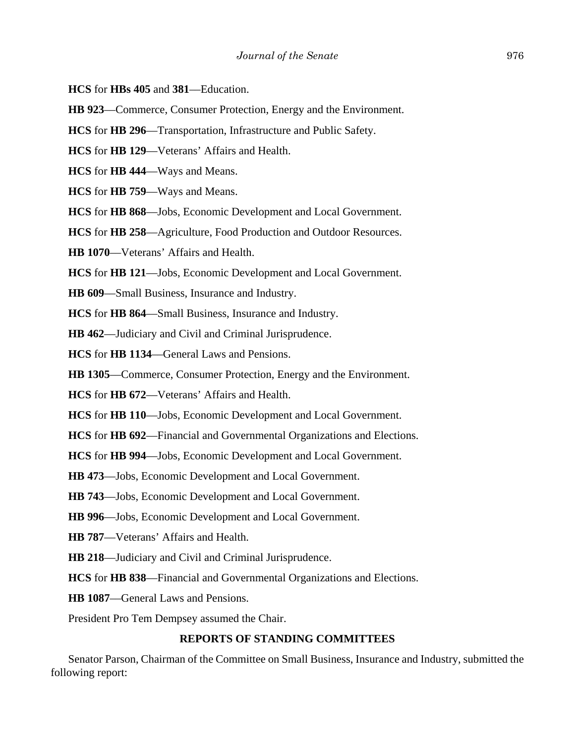- **HCS** for **HBs 405** and **381**––Education.
- **HB 923**––Commerce, Consumer Protection, Energy and the Environment.
- **HCS** for **HB 296**––Transportation, Infrastructure and Public Safety.
- **HCS** for **HB 129**––Veterans' Affairs and Health.
- **HCS** for **HB 444**––Ways and Means.
- **HCS** for **HB 759**––Ways and Means.
- **HCS** for **HB 868**––Jobs, Economic Development and Local Government.
- **HCS** for **HB 258**––Agriculture, Food Production and Outdoor Resources.
- **HB 1070**––Veterans' Affairs and Health.
- **HCS** for **HB 121**––Jobs, Economic Development and Local Government.
- **HB 609**––Small Business, Insurance and Industry.
- **HCS** for **HB 864**––Small Business, Insurance and Industry.
- **HB 462**––Judiciary and Civil and Criminal Jurisprudence.
- **HCS** for **HB 1134**––General Laws and Pensions.
- **HB 1305**––Commerce, Consumer Protection, Energy and the Environment.
- **HCS** for **HB 672**––Veterans' Affairs and Health.
- **HCS** for **HB 110**––Jobs, Economic Development and Local Government.
- **HCS** for **HB 692**––Financial and Governmental Organizations and Elections.
- **HCS** for **HB 994**––Jobs, Economic Development and Local Government.
- **HB 473**––Jobs, Economic Development and Local Government.
- **HB 743**––Jobs, Economic Development and Local Government.
- **HB 996**––Jobs, Economic Development and Local Government.
- **HB 787**––Veterans' Affairs and Health.
- **HB 218**––Judiciary and Civil and Criminal Jurisprudence.
- **HCS** for **HB 838**––Financial and Governmental Organizations and Elections.
- **HB 1087**––General Laws and Pensions.

President Pro Tem Dempsey assumed the Chair.

#### **REPORTS OF STANDING COMMITTEES**

Senator Parson, Chairman of the Committee on Small Business, Insurance and Industry, submitted the following report: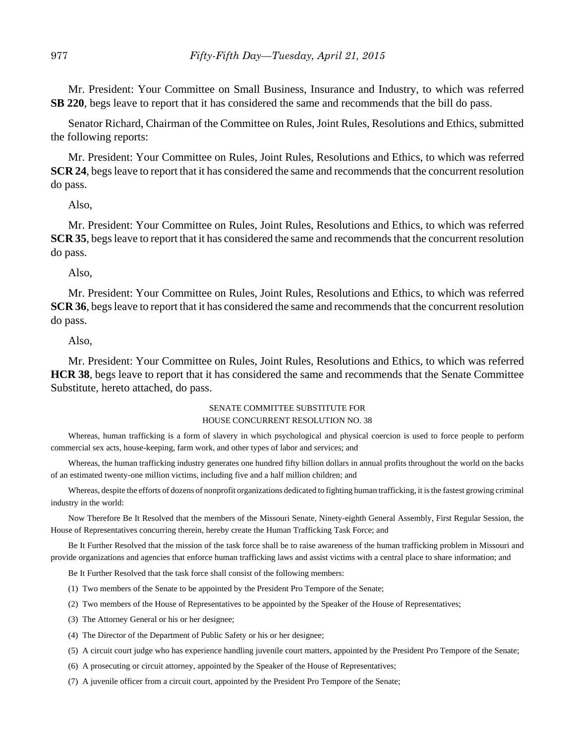Mr. President: Your Committee on Small Business, Insurance and Industry, to which was referred **SB 220**, begs leave to report that it has considered the same and recommends that the bill do pass.

Senator Richard, Chairman of the Committee on Rules, Joint Rules, Resolutions and Ethics, submitted the following reports:

Mr. President: Your Committee on Rules, Joint Rules, Resolutions and Ethics, to which was referred **SCR 24**, begs leave to report that it has considered the same and recommends that the concurrent resolution do pass.

Also,

Mr. President: Your Committee on Rules, Joint Rules, Resolutions and Ethics, to which was referred **SCR 35**, begs leave to report that it has considered the same and recommends that the concurrent resolution do pass.

Also,

Mr. President: Your Committee on Rules, Joint Rules, Resolutions and Ethics, to which was referred **SCR 36**, begs leave to report that it has considered the same and recommends that the concurrent resolution do pass.

Also,

Mr. President: Your Committee on Rules, Joint Rules, Resolutions and Ethics, to which was referred **HCR 38**, begs leave to report that it has considered the same and recommends that the Senate Committee Substitute, hereto attached, do pass.

#### SENATE COMMITTEE SUBSTITUTE FOR HOUSE CONCURRENT RESOLUTION NO. 38

Whereas, human trafficking is a form of slavery in which psychological and physical coercion is used to force people to perform commercial sex acts, house-keeping, farm work, and other types of labor and services; and

Whereas, the human trafficking industry generates one hundred fifty billion dollars in annual profits throughout the world on the backs of an estimated twenty-one million victims, including five and a half million children; and

Whereas, despite the efforts of dozens of nonprofit organizations dedicated to fighting human trafficking, it is the fastest growing criminal industry in the world:

Now Therefore Be It Resolved that the members of the Missouri Senate, Ninety-eighth General Assembly, First Regular Session, the House of Representatives concurring therein, hereby create the Human Trafficking Task Force; and

Be It Further Resolved that the mission of the task force shall be to raise awareness of the human trafficking problem in Missouri and provide organizations and agencies that enforce human trafficking laws and assist victims with a central place to share information; and

Be It Further Resolved that the task force shall consist of the following members:

- (1) Two members of the Senate to be appointed by the President Pro Tempore of the Senate;
- (2) Two members of the House of Representatives to be appointed by the Speaker of the House of Representatives;
- (3) The Attorney General or his or her designee;
- (4) The Director of the Department of Public Safety or his or her designee;
- (5) A circuit court judge who has experience handling juvenile court matters, appointed by the President Pro Tempore of the Senate;
- (6) A prosecuting or circuit attorney, appointed by the Speaker of the House of Representatives;
- (7) A juvenile officer from a circuit court, appointed by the President Pro Tempore of the Senate;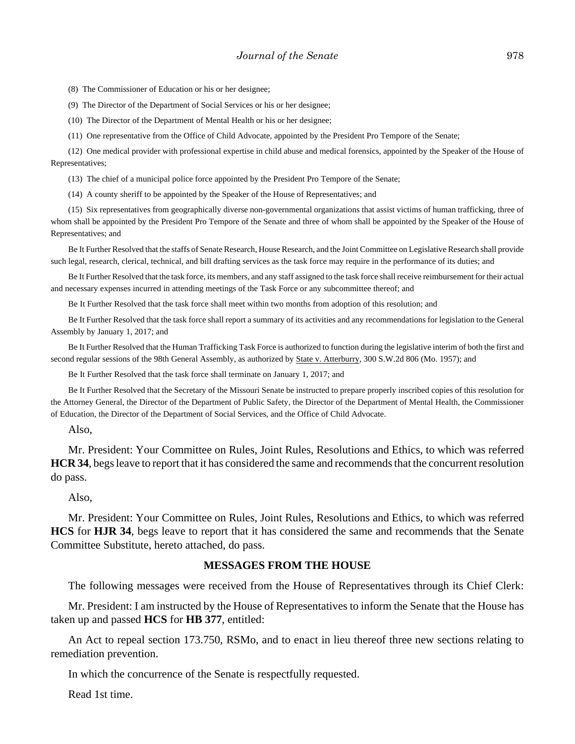(8) The Commissioner of Education or his or her designee;

(9) The Director of the Department of Social Services or his or her designee;

(10) The Director of the Department of Mental Health or his or her designee;

(11) One representative from the Office of Child Advocate, appointed by the President Pro Tempore of the Senate;

(12) One medical provider with professional expertise in child abuse and medical forensics, appointed by the Speaker of the House of Representatives;

(13) The chief of a municipal police force appointed by the President Pro Tempore of the Senate;

(14) A county sheriff to be appointed by the Speaker of the House of Representatives; and

(15) Six representatives from geographically diverse non-governmental organizations that assist victims of human trafficking, three of whom shall be appointed by the President Pro Tempore of the Senate and three of whom shall be appointed by the Speaker of the House of Representatives; and

Be It Further Resolved that the staffs of Senate Research, House Research, and the Joint Committee on Legislative Research shall provide such legal, research, clerical, technical, and bill drafting services as the task force may require in the performance of its duties; and

Be It Further Resolved that the task force, its members, and any staff assigned to the task force shall receive reimbursement for their actual and necessary expenses incurred in attending meetings of the Task Force or any subcommittee thereof; and

Be It Further Resolved that the task force shall meet within two months from adoption of this resolution; and

Be It Further Resolved that the task force shall report a summary of its activities and any recommendations for legislation to the General Assembly by January 1, 2017; and

Be It Further Resolved that the Human Trafficking Task Force is authorized to function during the legislative interim of both the first and second regular sessions of the 98th General Assembly, as authorized by **State v. Atterburry**, 300 S.W.2d 806 (Mo. 1957); and

Be It Further Resolved that the task force shall terminate on January 1, 2017; and

Be It Further Resolved that the Secretary of the Missouri Senate be instructed to prepare properly inscribed copies of this resolution for the Attorney General, the Director of the Department of Public Safety, the Director of the Department of Mental Health, the Commissioner of Education, the Director of the Department of Social Services, and the Office of Child Advocate.

Also,

Mr. President: Your Committee on Rules, Joint Rules, Resolutions and Ethics, to which was referred **HCR 34**, begs leave to report that it has considered the same and recommends that the concurrent resolution do pass.

Also,

Mr. President: Your Committee on Rules, Joint Rules, Resolutions and Ethics, to which was referred **HCS** for **HJR 34**, begs leave to report that it has considered the same and recommends that the Senate Committee Substitute, hereto attached, do pass.

## **MESSAGES FROM THE HOUSE**

The following messages were received from the House of Representatives through its Chief Clerk:

Mr. President: I am instructed by the House of Representatives to inform the Senate that the House has taken up and passed **HCS** for **HB 377**, entitled:

An Act to repeal section 173.750, RSMo, and to enact in lieu thereof three new sections relating to remediation prevention.

In which the concurrence of the Senate is respectfully requested.

Read 1st time.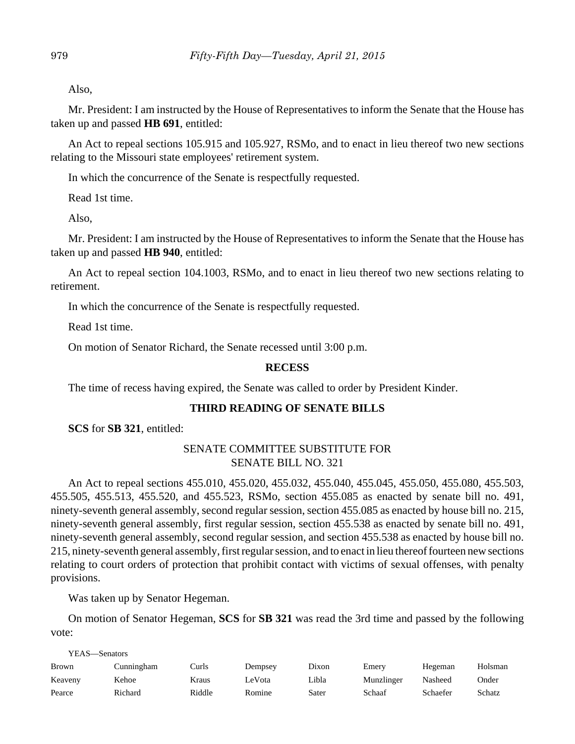Also,

Mr. President: I am instructed by the House of Representatives to inform the Senate that the House has taken up and passed **HB 691**, entitled:

An Act to repeal sections 105.915 and 105.927, RSMo, and to enact in lieu thereof two new sections relating to the Missouri state employees' retirement system.

In which the concurrence of the Senate is respectfully requested.

Read 1st time.

Also,

Mr. President: I am instructed by the House of Representatives to inform the Senate that the House has taken up and passed **HB 940**, entitled:

An Act to repeal section 104.1003, RSMo, and to enact in lieu thereof two new sections relating to retirement.

In which the concurrence of the Senate is respectfully requested.

Read 1st time.

On motion of Senator Richard, the Senate recessed until 3:00 p.m.

## **RECESS**

The time of recess having expired, the Senate was called to order by President Kinder.

## **THIRD READING OF SENATE BILLS**

**SCS** for **SB 321**, entitled:

## SENATE COMMITTEE SUBSTITUTE FOR SENATE BILL NO. 321

An Act to repeal sections 455.010, 455.020, 455.032, 455.040, 455.045, 455.050, 455.080, 455.503, 455.505, 455.513, 455.520, and 455.523, RSMo, section 455.085 as enacted by senate bill no. 491, ninety-seventh general assembly, second regular session, section 455.085 as enacted by house bill no. 215, ninety-seventh general assembly, first regular session, section 455.538 as enacted by senate bill no. 491, ninety-seventh general assembly, second regular session, and section 455.538 as enacted by house bill no. 215, ninety-seventh general assembly, first regular session, and to enact in lieu thereof fourteen new sections relating to court orders of protection that prohibit contact with victims of sexual offenses, with penalty provisions.

Was taken up by Senator Hegeman.

On motion of Senator Hegeman, **SCS** for **SB 321** was read the 3rd time and passed by the following vote:

| YEAS—Senators |            |        |         |       |            |          |               |
|---------------|------------|--------|---------|-------|------------|----------|---------------|
| <b>Brown</b>  | Cunningham | Curls  | Dempsey | Dixon | Emery      | Hegeman  | Holsman       |
| Keaveny       | Kehoe      | Kraus  | LeVota  | Libla | Munzlinger | Nasheed  | Onder         |
| Pearce        | Richard    | Riddle | Romine  | Sater | Schaaf     | Schaefer | <b>Schatz</b> |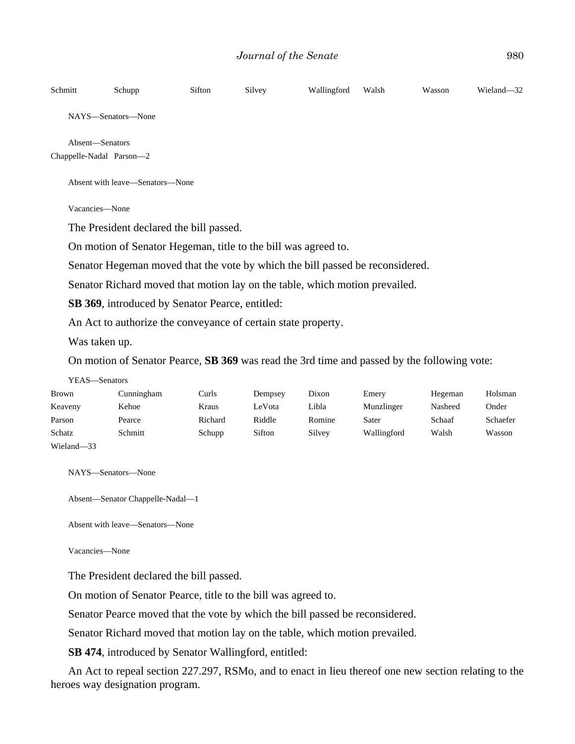| Schmitt                         | Schupp                                                                                             | Sifton | Silvey | Wallingford | Walsh | Wasson | Wieland-32 |  |  |
|---------------------------------|----------------------------------------------------------------------------------------------------|--------|--------|-------------|-------|--------|------------|--|--|
|                                 | NAYS-Senators-None                                                                                 |        |        |             |       |        |            |  |  |
|                                 | Absent-Senators<br>Chappelle-Nadal Parson-2                                                        |        |        |             |       |        |            |  |  |
| Absent with leave—Senators—None |                                                                                                    |        |        |             |       |        |            |  |  |
|                                 | Vacancies-None                                                                                     |        |        |             |       |        |            |  |  |
|                                 | The President declared the bill passed.                                                            |        |        |             |       |        |            |  |  |
|                                 | On motion of Senator Hegeman, title to the bill was agreed to.                                     |        |        |             |       |        |            |  |  |
|                                 | Senator Hegeman moved that the vote by which the bill passed be reconsidered.                      |        |        |             |       |        |            |  |  |
|                                 | Senator Richard moved that motion lay on the table, which motion prevailed.                        |        |        |             |       |        |            |  |  |
|                                 | SB 369, introduced by Senator Pearce, entitled:                                                    |        |        |             |       |        |            |  |  |
|                                 | An Act to authorize the conveyance of certain state property.                                      |        |        |             |       |        |            |  |  |
|                                 | Was taken up.                                                                                      |        |        |             |       |        |            |  |  |
|                                 | On motion of Senator Pearce, <b>SB 369</b> was read the 3rd time and passed by the following vote: |        |        |             |       |        |            |  |  |
|                                 | YEAS-Senators                                                                                      |        |        |             |       |        |            |  |  |

| Brown      | Cunningham | Curls   | Dempsey | Dixon  | Emery       | Hegeman | Holsman  |
|------------|------------|---------|---------|--------|-------------|---------|----------|
| Keaveny    | Kehoe      | Kraus   | LeVota  | Libla  | Munzlinger  | Nasheed | Onder    |
| Parson     | Pearce     | Richard | Riddle  | Romine | Sater       | Schaaf  | Schaefer |
| Schatz     | Schmitt    | Schupp  | Sifton  | Silvey | Wallingford | Walsh   | Wasson   |
| Wieland-33 |            |         |         |        |             |         |          |

NAYS—Senators—None

Absent—Senator Chappelle-Nadal—1

Absent with leave—Senators—None

Vacancies—None

The President declared the bill passed.

On motion of Senator Pearce, title to the bill was agreed to.

Senator Pearce moved that the vote by which the bill passed be reconsidered.

Senator Richard moved that motion lay on the table, which motion prevailed.

**SB 474**, introduced by Senator Wallingford, entitled:

An Act to repeal section 227.297, RSMo, and to enact in lieu thereof one new section relating to the heroes way designation program.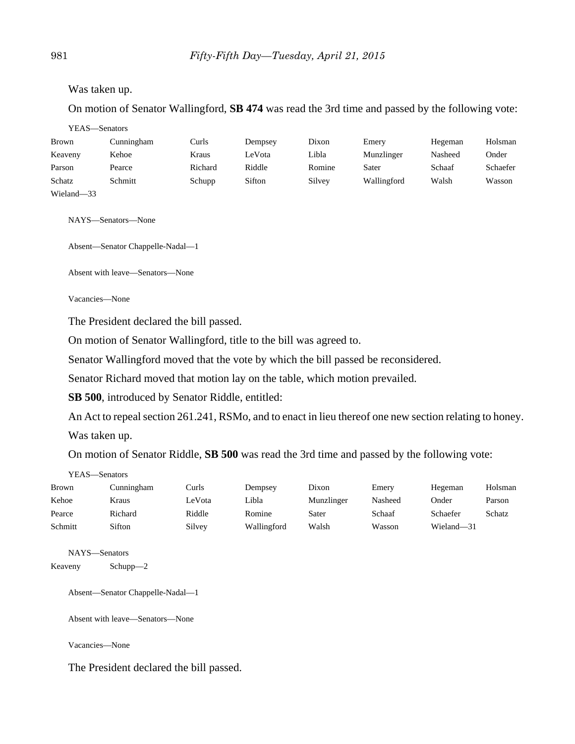Was taken up.

On motion of Senator Wallingford, **SB 474** was read the 3rd time and passed by the following vote:

| YEAS—Senators |            |         |         |        |             |         |          |
|---------------|------------|---------|---------|--------|-------------|---------|----------|
| <b>Brown</b>  | Cunningham | Curls   | Dempsey | Dixon  | Emery       | Hegeman | Holsman  |
| Keaveny       | Kehoe      | Kraus   | LeVota  | Libla  | Munzlinger  | Nasheed | Onder    |
| Parson        | Pearce     | Richard | Riddle  | Romine | Sater       | Schaaf  | Schaefer |
| Schatz        | Schmitt    | Schupp  | Sifton  | Silvey | Wallingford | Walsh   | Wasson   |
| Wieland-33    |            |         |         |        |             |         |          |

NAYS—Senators—None

Absent—Senator Chappelle-Nadal—1

Absent with leave—Senators—None

Vacancies—None

The President declared the bill passed.

On motion of Senator Wallingford, title to the bill was agreed to.

Senator Wallingford moved that the vote by which the bill passed be reconsidered.

Senator Richard moved that motion lay on the table, which motion prevailed.

**SB 500**, introduced by Senator Riddle, entitled:

An Act to repeal section 261.241, RSMo, and to enact in lieu thereof one new section relating to honey.

Was taken up.

On motion of Senator Riddle, **SB 500** was read the 3rd time and passed by the following vote:

| YEAS—Senators |            |        |             |            |         |            |         |
|---------------|------------|--------|-------------|------------|---------|------------|---------|
| <b>Brown</b>  | Cunningham | Curls  | Dempsey     | Dixon      | Emery   | Hegeman    | Holsman |
| Kehoe         | Kraus      | LeVota | Libla       | Munzlinger | Nasheed | Onder      | Parson  |
| Pearce        | Richard    | Riddle | Romine      | Sater      | Schaaf  | Schaefer   | Schatz  |
| Schmitt       | Sifton     | Silvey | Wallingford | Walsh      | Wasson  | Wieland-31 |         |

NAYS—Senators Keaveny Schupp—2

Absent—Senator Chappelle-Nadal—1

Absent with leave—Senators—None

Vacancies—None

The President declared the bill passed.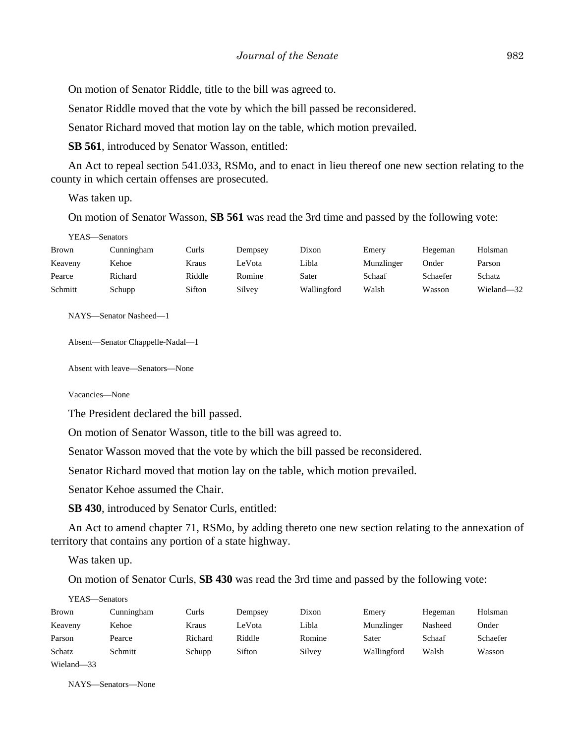On motion of Senator Riddle, title to the bill was agreed to.

Senator Riddle moved that the vote by which the bill passed be reconsidered.

Senator Richard moved that motion lay on the table, which motion prevailed.

**SB 561**, introduced by Senator Wasson, entitled:

An Act to repeal section 541.033, RSMo, and to enact in lieu thereof one new section relating to the county in which certain offenses are prosecuted.

Was taken up.

On motion of Senator Wasson, **SB 561** was read the 3rd time and passed by the following vote:

| YEAS—Senators |            |        |         |             |            |          |            |
|---------------|------------|--------|---------|-------------|------------|----------|------------|
| <b>Brown</b>  | Cunningham | Curls  | Dempsey | Dixon       | Emery      | Hegeman  | Holsman    |
| Keaveny       | Kehoe      | Kraus  | LeVota  | Libla       | Munzlinger | Onder    | Parson     |
| Pearce        | Richard    | Riddle | Romine  | Sater       | Schaaf     | Schaefer | Schatz     |
| Schmitt       | Schupp     | Sifton | Silvey  | Wallingford | Walsh      | Wasson   | Wieland-32 |
|               |            |        |         |             |            |          |            |

NAYS—Senator Nasheed—1

Absent—Senator Chappelle-Nadal—1

Absent with leave—Senators—None

Vacancies—None

The President declared the bill passed.

On motion of Senator Wasson, title to the bill was agreed to.

Senator Wasson moved that the vote by which the bill passed be reconsidered.

Senator Richard moved that motion lay on the table, which motion prevailed.

Senator Kehoe assumed the Chair.

**SB 430**, introduced by Senator Curls, entitled:

An Act to amend chapter 71, RSMo, by adding thereto one new section relating to the annexation of territory that contains any portion of a state highway.

Was taken up.

On motion of Senator Curls, **SB 430** was read the 3rd time and passed by the following vote:

YEAS—Senators

| <b>Brown</b> | Cunningham | Curls   | Dempsey | Dixon  | Emery       | Hegeman | Holsman  |
|--------------|------------|---------|---------|--------|-------------|---------|----------|
| Keaveny      | Kehoe      | Kraus   | LeVota  | Libla  | Munzlinger  | Nasheed | Onder    |
| Parson       | Pearce     | Richard | Riddle  | Romine | Sater       | Schaaf  | Schaefer |
| Schatz       | Schmitt    | Schupp  | Sifton  | Silvey | Wallingford | Walsh   | Wasson   |
| Wieland-33   |            |         |         |        |             |         |          |

NAYS—Senators—None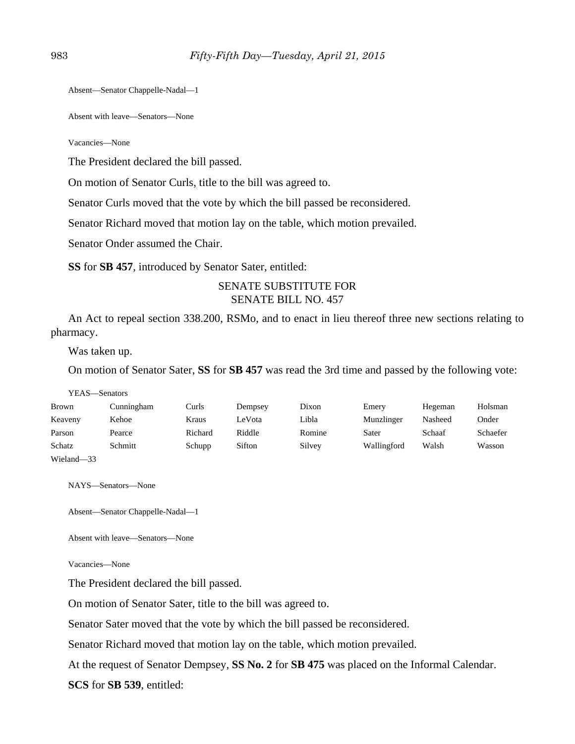Absent—Senator Chappelle-Nadal—1

Absent with leave—Senators—None

Vacancies—None

The President declared the bill passed.

On motion of Senator Curls, title to the bill was agreed to.

Senator Curls moved that the vote by which the bill passed be reconsidered.

Senator Richard moved that motion lay on the table, which motion prevailed.

Senator Onder assumed the Chair.

**SS** for **SB 457**, introduced by Senator Sater, entitled:

## SENATE SUBSTITUTE FOR SENATE BILL NO. 457

An Act to repeal section 338.200, RSMo, and to enact in lieu thereof three new sections relating to pharmacy.

Was taken up.

On motion of Senator Sater, **SS** for **SB 457** was read the 3rd time and passed by the following vote:

| YEAS—Senators |            |         |         |        |             |         |          |
|---------------|------------|---------|---------|--------|-------------|---------|----------|
| <b>Brown</b>  | Cunningham | Curls   | Dempsey | Dixon  | Emery       | Hegeman | Holsman  |
| Keaveny       | Kehoe      | Kraus   | LeVota  | Libla  | Munzlinger  | Nasheed | Onder    |
| Parson        | Pearce     | Richard | Riddle  | Romine | Sater       | Schaaf  | Schaefer |
| Schatz        | Schmitt    | Schupp  | Sifton  | Silvey | Wallingford | Walsh   | Wasson   |
| Wieland-33    |            |         |         |        |             |         |          |

NAYS—Senators—None

Absent—Senator Chappelle-Nadal—1

Absent with leave—Senators—None

Vacancies—None

The President declared the bill passed.

On motion of Senator Sater, title to the bill was agreed to.

Senator Sater moved that the vote by which the bill passed be reconsidered.

Senator Richard moved that motion lay on the table, which motion prevailed.

At the request of Senator Dempsey, **SS No. 2** for **SB 475** was placed on the Informal Calendar.

**SCS** for **SB 539**, entitled: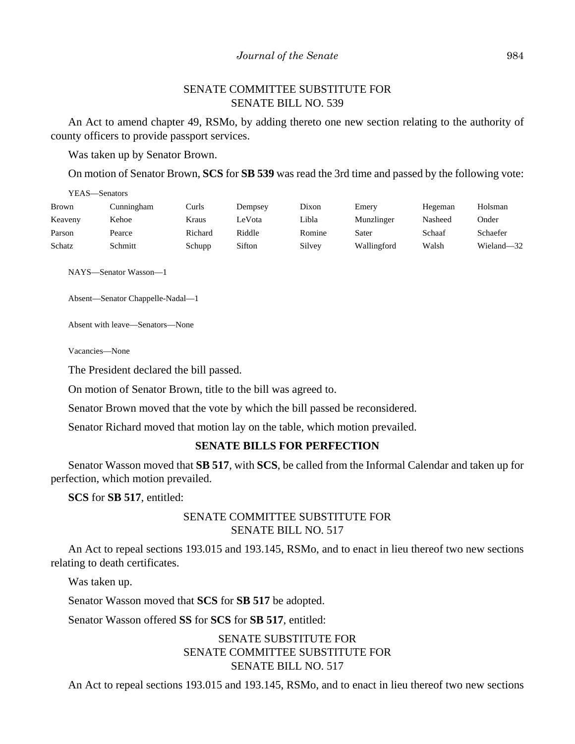## SENATE COMMITTEE SUBSTITUTE FOR SENATE BILL NO. 539

An Act to amend chapter 49, RSMo, by adding thereto one new section relating to the authority of county officers to provide passport services.

Was taken up by Senator Brown.

On motion of Senator Brown, **SCS** for **SB 539** was read the 3rd time and passed by the following vote:

| YEAS—Senators |            |         |         |        |             |         |            |
|---------------|------------|---------|---------|--------|-------------|---------|------------|
| Brown         | Cunningham | Curls   | Dempsey | Dixon  | Emery       | Hegeman | Holsman    |
| Keaveny       | Kehoe      | Kraus   | LeVota  | Libla  | Munzlinger  | Nasheed | Onder      |
| Parson        | Pearce     | Richard | Riddle  | Romine | Sater       | Schaaf  | Schaefer   |
| Schatz        | Schmitt    | Schupp  | Sifton  | Silvey | Wallingford | Walsh   | Wieland-32 |

NAYS—Senator Wasson—1

Absent—Senator Chappelle-Nadal—1

Absent with leave—Senators—None

Vacancies—None

The President declared the bill passed.

On motion of Senator Brown, title to the bill was agreed to.

Senator Brown moved that the vote by which the bill passed be reconsidered.

Senator Richard moved that motion lay on the table, which motion prevailed.

#### **SENATE BILLS FOR PERFECTION**

Senator Wasson moved that **SB 517**, with **SCS**, be called from the Informal Calendar and taken up for perfection, which motion prevailed.

**SCS** for **SB 517**, entitled:

## SENATE COMMITTEE SUBSTITUTE FOR SENATE BILL NO. 517

An Act to repeal sections 193.015 and 193.145, RSMo, and to enact in lieu thereof two new sections relating to death certificates.

Was taken up.

Senator Wasson moved that **SCS** for **SB 517** be adopted.

Senator Wasson offered **SS** for **SCS** for **SB 517**, entitled:

## SENATE SUBSTITUTE FOR SENATE COMMITTEE SUBSTITUTE FOR SENATE BILL NO. 517

An Act to repeal sections 193.015 and 193.145, RSMo, and to enact in lieu thereof two new sections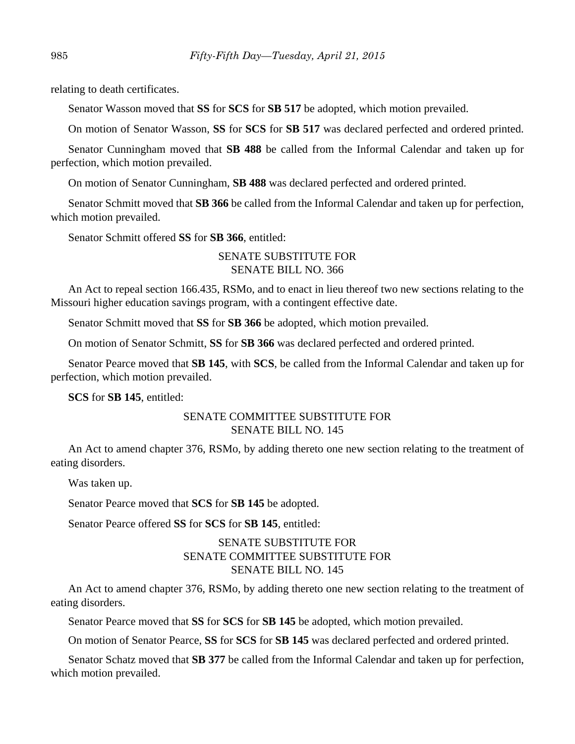relating to death certificates.

Senator Wasson moved that **SS** for **SCS** for **SB 517** be adopted, which motion prevailed.

On motion of Senator Wasson, **SS** for **SCS** for **SB 517** was declared perfected and ordered printed.

Senator Cunningham moved that **SB 488** be called from the Informal Calendar and taken up for perfection, which motion prevailed.

On motion of Senator Cunningham, **SB 488** was declared perfected and ordered printed.

Senator Schmitt moved that **SB 366** be called from the Informal Calendar and taken up for perfection, which motion prevailed.

Senator Schmitt offered **SS** for **SB 366**, entitled:

## SENATE SUBSTITUTE FOR SENATE BILL NO. 366

An Act to repeal section 166.435, RSMo, and to enact in lieu thereof two new sections relating to the Missouri higher education savings program, with a contingent effective date.

Senator Schmitt moved that **SS** for **SB 366** be adopted, which motion prevailed.

On motion of Senator Schmitt, **SS** for **SB 366** was declared perfected and ordered printed.

Senator Pearce moved that **SB 145**, with **SCS**, be called from the Informal Calendar and taken up for perfection, which motion prevailed.

**SCS** for **SB 145**, entitled:

## SENATE COMMITTEE SUBSTITUTE FOR SENATE BILL NO. 145

An Act to amend chapter 376, RSMo, by adding thereto one new section relating to the treatment of eating disorders.

Was taken up.

Senator Pearce moved that **SCS** for **SB 145** be adopted.

Senator Pearce offered **SS** for **SCS** for **SB 145**, entitled:

## SENATE SUBSTITUTE FOR SENATE COMMITTEE SUBSTITUTE FOR SENATE BILL NO. 145

An Act to amend chapter 376, RSMo, by adding thereto one new section relating to the treatment of eating disorders.

Senator Pearce moved that **SS** for **SCS** for **SB 145** be adopted, which motion prevailed.

On motion of Senator Pearce, **SS** for **SCS** for **SB 145** was declared perfected and ordered printed.

Senator Schatz moved that **SB 377** be called from the Informal Calendar and taken up for perfection, which motion prevailed.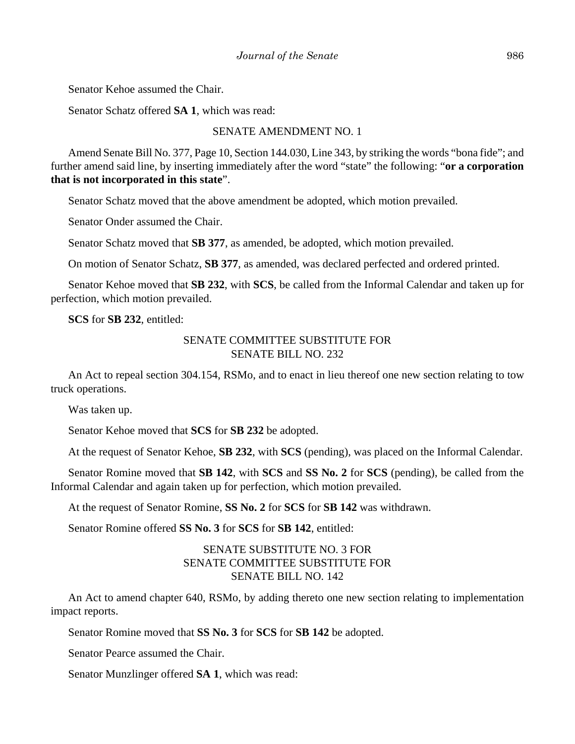Senator Kehoe assumed the Chair.

Senator Schatz offered **SA 1**, which was read:

#### SENATE AMENDMENT NO. 1

Amend Senate Bill No. 377, Page 10, Section 144.030, Line 343, by striking the words "bona fide"; and further amend said line, by inserting immediately after the word "state" the following: "**or a corporation that is not incorporated in this state**".

Senator Schatz moved that the above amendment be adopted, which motion prevailed.

Senator Onder assumed the Chair.

Senator Schatz moved that **SB 377**, as amended, be adopted, which motion prevailed.

On motion of Senator Schatz, **SB 377**, as amended, was declared perfected and ordered printed.

Senator Kehoe moved that **SB 232**, with **SCS**, be called from the Informal Calendar and taken up for perfection, which motion prevailed.

**SCS** for **SB 232**, entitled:

## SENATE COMMITTEE SUBSTITUTE FOR SENATE BILL NO. 232

An Act to repeal section 304.154, RSMo, and to enact in lieu thereof one new section relating to tow truck operations.

Was taken up.

Senator Kehoe moved that **SCS** for **SB 232** be adopted.

At the request of Senator Kehoe, **SB 232**, with **SCS** (pending), was placed on the Informal Calendar.

Senator Romine moved that **SB 142**, with **SCS** and **SS No. 2** for **SCS** (pending), be called from the Informal Calendar and again taken up for perfection, which motion prevailed.

At the request of Senator Romine, **SS No. 2** for **SCS** for **SB 142** was withdrawn.

Senator Romine offered **SS No. 3** for **SCS** for **SB 142**, entitled:

## SENATE SUBSTITUTE NO. 3 FOR SENATE COMMITTEE SUBSTITUTE FOR SENATE BILL NO. 142

An Act to amend chapter 640, RSMo, by adding thereto one new section relating to implementation impact reports.

Senator Romine moved that **SS No. 3** for **SCS** for **SB 142** be adopted.

Senator Pearce assumed the Chair.

Senator Munzlinger offered **SA 1**, which was read: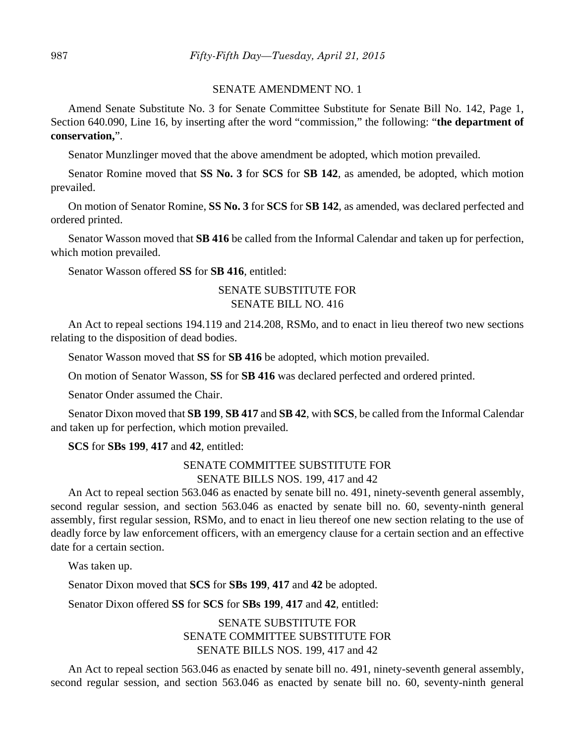#### SENATE AMENDMENT NO. 1

Amend Senate Substitute No. 3 for Senate Committee Substitute for Senate Bill No. 142, Page 1, Section 640.090, Line 16, by inserting after the word "commission," the following: "**the department of conservation,**".

Senator Munzlinger moved that the above amendment be adopted, which motion prevailed.

Senator Romine moved that **SS No. 3** for **SCS** for **SB 142**, as amended, be adopted, which motion prevailed.

On motion of Senator Romine, **SS No. 3** for **SCS** for **SB 142**, as amended, was declared perfected and ordered printed.

Senator Wasson moved that **SB 416** be called from the Informal Calendar and taken up for perfection, which motion prevailed.

Senator Wasson offered **SS** for **SB 416**, entitled:

## SENATE SUBSTITUTE FOR SENATE BILL NO. 416

An Act to repeal sections 194.119 and 214.208, RSMo, and to enact in lieu thereof two new sections relating to the disposition of dead bodies.

Senator Wasson moved that **SS** for **SB 416** be adopted, which motion prevailed.

On motion of Senator Wasson, **SS** for **SB 416** was declared perfected and ordered printed.

Senator Onder assumed the Chair.

Senator Dixon moved that **SB 199**, **SB 417** and **SB 42**, with **SCS**, be called from the Informal Calendar and taken up for perfection, which motion prevailed.

**SCS** for **SBs 199**, **417** and **42**, entitled:

## SENATE COMMITTEE SUBSTITUTE FOR

SENATE BILLS NOS. 199, 417 and 42

An Act to repeal section 563.046 as enacted by senate bill no. 491, ninety-seventh general assembly, second regular session, and section 563.046 as enacted by senate bill no. 60, seventy-ninth general assembly, first regular session, RSMo, and to enact in lieu thereof one new section relating to the use of deadly force by law enforcement officers, with an emergency clause for a certain section and an effective date for a certain section.

Was taken up.

Senator Dixon moved that **SCS** for **SBs 199**, **417** and **42** be adopted.

Senator Dixon offered **SS** for **SCS** for **SBs 199**, **417** and **42**, entitled:

## SENATE SUBSTITUTE FOR SENATE COMMITTEE SUBSTITUTE FOR SENATE BILLS NOS. 199, 417 and 42

An Act to repeal section 563.046 as enacted by senate bill no. 491, ninety-seventh general assembly, second regular session, and section 563.046 as enacted by senate bill no. 60, seventy-ninth general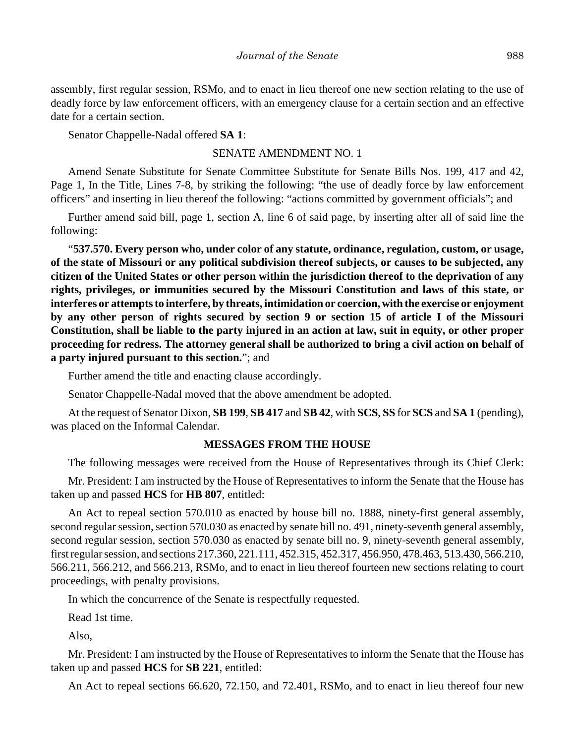assembly, first regular session, RSMo, and to enact in lieu thereof one new section relating to the use of deadly force by law enforcement officers, with an emergency clause for a certain section and an effective date for a certain section.

Senator Chappelle-Nadal offered **SA 1**:

#### SENATE AMENDMENT NO. 1

Amend Senate Substitute for Senate Committee Substitute for Senate Bills Nos. 199, 417 and 42, Page 1, In the Title, Lines 7-8, by striking the following: "the use of deadly force by law enforcement officers" and inserting in lieu thereof the following: "actions committed by government officials"; and

Further amend said bill, page 1, section A, line 6 of said page, by inserting after all of said line the following:

"**537.570. Every person who, under color of any statute, ordinance, regulation, custom, or usage, of the state of Missouri or any political subdivision thereof subjects, or causes to be subjected, any citizen of the United States or other person within the jurisdiction thereof to the deprivation of any rights, privileges, or immunities secured by the Missouri Constitution and laws of this state, or interferes or attempts to interfere, by threats, intimidation or coercion, with the exercise or enjoyment by any other person of rights secured by section 9 or section 15 of article I of the Missouri Constitution, shall be liable to the party injured in an action at law, suit in equity, or other proper proceeding for redress. The attorney general shall be authorized to bring a civil action on behalf of a party injured pursuant to this section.**"; and

Further amend the title and enacting clause accordingly.

Senator Chappelle-Nadal moved that the above amendment be adopted.

At the request of Senator Dixon, **SB 199**, **SB 417** and **SB 42**, with **SCS**, **SS** for **SCS** and **SA 1** (pending), was placed on the Informal Calendar.

#### **MESSAGES FROM THE HOUSE**

The following messages were received from the House of Representatives through its Chief Clerk:

Mr. President: I am instructed by the House of Representatives to inform the Senate that the House has taken up and passed **HCS** for **HB 807**, entitled:

An Act to repeal section 570.010 as enacted by house bill no. 1888, ninety-first general assembly, second regular session, section 570.030 as enacted by senate bill no. 491, ninety-seventh general assembly, second regular session, section 570.030 as enacted by senate bill no. 9, ninety-seventh general assembly, first regular session, and sections 217.360, 221.111, 452.315, 452.317, 456.950, 478.463, 513.430, 566.210, 566.211, 566.212, and 566.213, RSMo, and to enact in lieu thereof fourteen new sections relating to court proceedings, with penalty provisions.

In which the concurrence of the Senate is respectfully requested.

Read 1st time.

Also,

Mr. President: I am instructed by the House of Representatives to inform the Senate that the House has taken up and passed **HCS** for **SB 221**, entitled:

An Act to repeal sections 66.620, 72.150, and 72.401, RSMo, and to enact in lieu thereof four new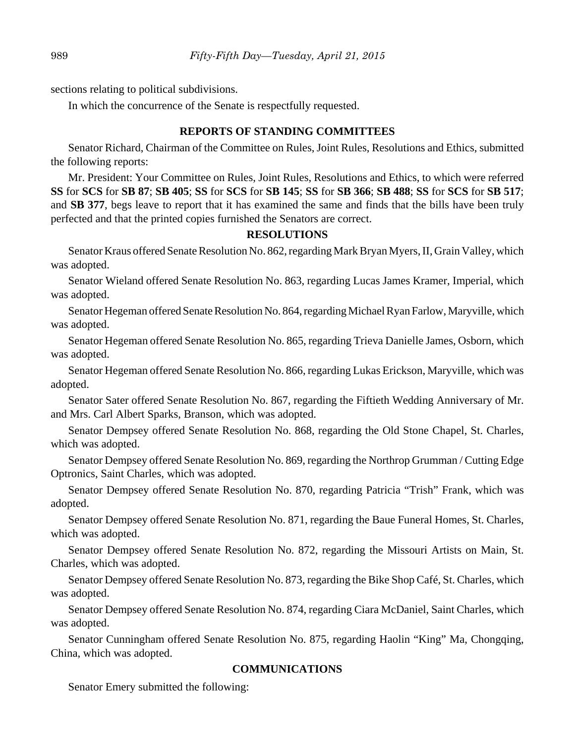sections relating to political subdivisions.

In which the concurrence of the Senate is respectfully requested.

## **REPORTS OF STANDING COMMITTEES**

Senator Richard, Chairman of the Committee on Rules, Joint Rules, Resolutions and Ethics, submitted the following reports:

Mr. President: Your Committee on Rules, Joint Rules, Resolutions and Ethics, to which were referred **SS** for **SCS** for **SB 87**; **SB 405**; **SS** for **SCS** for **SB 145**; **SS** for **SB 366**; **SB 488**; **SS** for **SCS** for **SB 517**; and **SB 377**, begs leave to report that it has examined the same and finds that the bills have been truly perfected and that the printed copies furnished the Senators are correct.

## **RESOLUTIONS**

Senator Kraus offered Senate Resolution No. 862, regarding Mark Bryan Myers, II, Grain Valley, which was adopted.

Senator Wieland offered Senate Resolution No. 863, regarding Lucas James Kramer, Imperial, which was adopted.

Senator Hegeman offered Senate Resolution No. 864, regarding Michael Ryan Farlow, Maryville, which was adopted.

Senator Hegeman offered Senate Resolution No. 865, regarding Trieva Danielle James, Osborn, which was adopted.

Senator Hegeman offered Senate Resolution No. 866, regarding Lukas Erickson, Maryville, which was adopted.

Senator Sater offered Senate Resolution No. 867, regarding the Fiftieth Wedding Anniversary of Mr. and Mrs. Carl Albert Sparks, Branson, which was adopted.

Senator Dempsey offered Senate Resolution No. 868, regarding the Old Stone Chapel, St. Charles, which was adopted.

Senator Dempsey offered Senate Resolution No. 869, regarding the Northrop Grumman / Cutting Edge Optronics, Saint Charles, which was adopted.

Senator Dempsey offered Senate Resolution No. 870, regarding Patricia "Trish" Frank, which was adopted.

Senator Dempsey offered Senate Resolution No. 871, regarding the Baue Funeral Homes, St. Charles, which was adopted.

Senator Dempsey offered Senate Resolution No. 872, regarding the Missouri Artists on Main, St. Charles, which was adopted.

Senator Dempsey offered Senate Resolution No. 873, regarding the Bike Shop Café, St. Charles, which was adopted.

Senator Dempsey offered Senate Resolution No. 874, regarding Ciara McDaniel, Saint Charles, which was adopted.

Senator Cunningham offered Senate Resolution No. 875, regarding Haolin "King" Ma, Chongqing, China, which was adopted.

#### **COMMUNICATIONS**

Senator Emery submitted the following: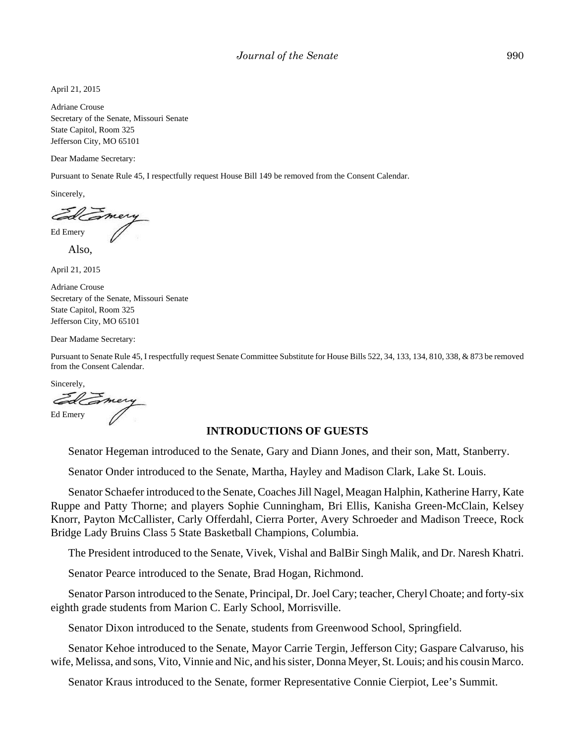April 21, 2015

Adriane Crouse Secretary of the Senate, Missouri Senate State Capitol, Room 325 Jefferson City, MO 65101

Dear Madame Secretary:

Pursuant to Senate Rule 45, I respectfully request House Bill 149 be removed from the Consent Calendar.

Sincerely,

Ed Emery

Also,

April 21, 2015

Adriane Crouse Secretary of the Senate, Missouri Senate State Capitol, Room 325 Jefferson City, MO 65101

Dear Madame Secretary:

Pursuant to Senate Rule 45, I respectfully request Senate Committee Substitute for House Bills 522, 34, 133, 134, 810, 338, & 873 be removed from the Consent Calendar.

Sincerely,

mery Ed Emery

#### **INTRODUCTIONS OF GUESTS**

Senator Hegeman introduced to the Senate, Gary and Diann Jones, and their son, Matt, Stanberry.

Senator Onder introduced to the Senate, Martha, Hayley and Madison Clark, Lake St. Louis.

Senator Schaefer introduced to the Senate, Coaches Jill Nagel, Meagan Halphin, Katherine Harry, Kate Ruppe and Patty Thorne; and players Sophie Cunningham, Bri Ellis, Kanisha Green-McClain, Kelsey Knorr, Payton McCallister, Carly Offerdahl, Cierra Porter, Avery Schroeder and Madison Treece, Rock Bridge Lady Bruins Class 5 State Basketball Champions, Columbia.

The President introduced to the Senate, Vivek, Vishal and BalBir Singh Malik, and Dr. Naresh Khatri.

Senator Pearce introduced to the Senate, Brad Hogan, Richmond.

Senator Parson introduced to the Senate, Principal, Dr. Joel Cary; teacher, Cheryl Choate; and forty-six eighth grade students from Marion C. Early School, Morrisville.

Senator Dixon introduced to the Senate, students from Greenwood School, Springfield.

Senator Kehoe introduced to the Senate, Mayor Carrie Tergin, Jefferson City; Gaspare Calvaruso, his wife, Melissa, and sons, Vito, Vinnie and Nic, and his sister, Donna Meyer, St. Louis; and his cousin Marco.

Senator Kraus introduced to the Senate, former Representative Connie Cierpiot, Lee's Summit.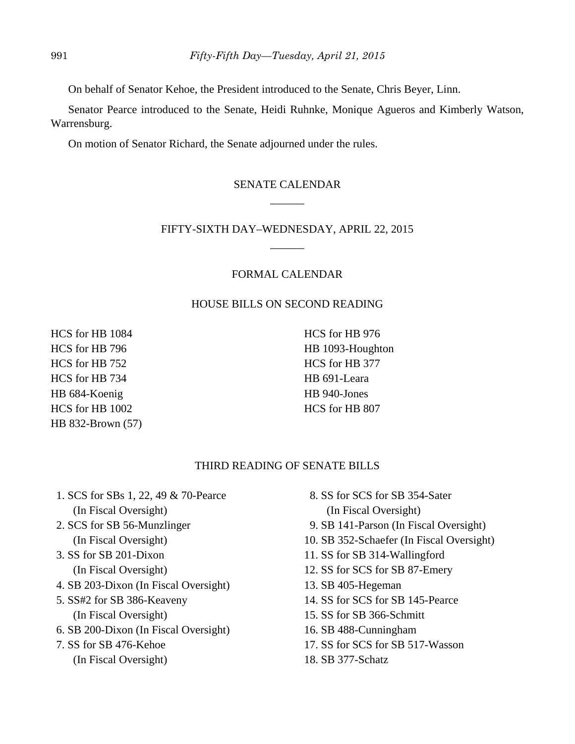On behalf of Senator Kehoe, the President introduced to the Senate, Chris Beyer, Linn.

Senator Pearce introduced to the Senate, Heidi Ruhnke, Monique Agueros and Kimberly Watson, Warrensburg.

On motion of Senator Richard, the Senate adjourned under the rules.

## SENATE CALENDAR  $\overline{\phantom{a}}$

## FIFTY-SIXTH DAY–WEDNESDAY, APRIL 22, 2015 \_\_\_\_\_\_

## FORMAL CALENDAR

## HOUSE BILLS ON SECOND READING

HCS for HB 1084 HCS for HB 796 HCS for HB 752 HCS for HB 734 HB 684-Koenig HCS for HB 1002 HB 832-Brown (57)

HCS for HB 976 HB 1093-Houghton HCS for HB 377 HB 691-Leara HB 940-Jones HCS for HB 807

## THIRD READING OF SENATE BILLS

- 1. SCS for SBs 1, 22, 49 & 70-Pearce (In Fiscal Oversight)
- 2. SCS for SB 56-Munzlinger (In Fiscal Oversight)
- 3. SS for SB 201-Dixon (In Fiscal Oversight)
- 4. SB 203-Dixon (In Fiscal Oversight)
- 5. SS#2 for SB 386-Keaveny (In Fiscal Oversight)
- 6. SB 200-Dixon (In Fiscal Oversight)
- 7. SS for SB 476-Kehoe
	- (In Fiscal Oversight)
- 8. SS for SCS for SB 354-Sater (In Fiscal Oversight)
- 9. SB 141-Parson (In Fiscal Oversight)
- 10. SB 352-Schaefer (In Fiscal Oversight)
- 11. SS for SB 314-Wallingford
- 12. SS for SCS for SB 87-Emery
- 13. SB 405-Hegeman
- 14. SS for SCS for SB 145-Pearce
- 15. SS for SB 366-Schmitt
- 16. SB 488-Cunningham
- 17. SS for SCS for SB 517-Wasson
- 18. SB 377-Schatz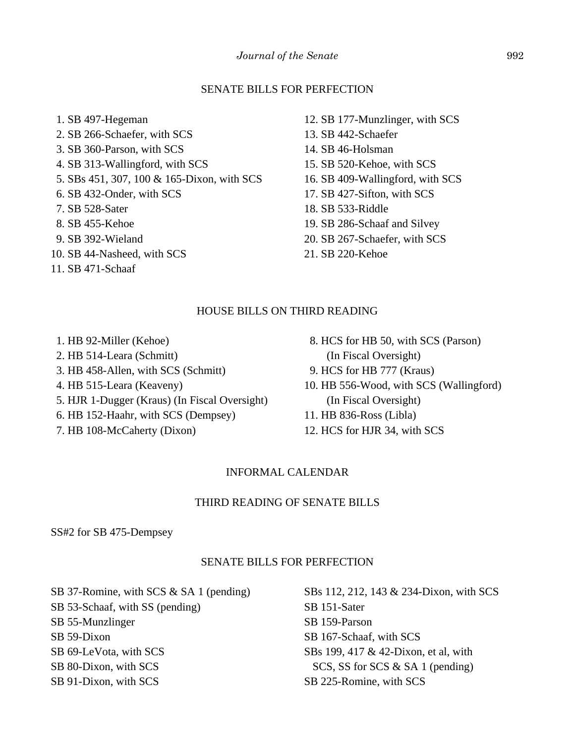## SENATE BILLS FOR PERFECTION

- 1. SB 497-Hegeman 2. SB 266-Schaefer, with SCS 3. SB 360-Parson, with SCS 4. SB 313-Wallingford, with SCS 5. SBs 451, 307, 100 & 165-Dixon, with SCS 6. SB 432-Onder, with SCS 7. SB 528-Sater 8. SB 455-Kehoe 9. SB 392-Wieland
- 10. SB 44-Nasheed, with SCS
- 11. SB 471-Schaaf
- 12. SB 177-Munzlinger, with SCS
- 13. SB 442-Schaefer
- 14. SB 46-Holsman
- 15. SB 520-Kehoe, with SCS
- 16. SB 409-Wallingford, with SCS
- 17. SB 427-Sifton, with SCS
- 18. SB 533-Riddle
- 19. SB 286-Schaaf and Silvey
- 20. SB 267-Schaefer, with SCS
- 21. SB 220-Kehoe

#### HOUSE BILLS ON THIRD READING

- 1. HB 92-Miller (Kehoe) 2. HB 514-Leara (Schmitt) 3. HB 458-Allen, with SCS (Schmitt) 4. HB 515-Leara (Keaveny) 5. HJR 1-Dugger (Kraus) (In Fiscal Oversight)
- 6. HB 152-Haahr, with SCS (Dempsey)
- 7. HB 108-McCaherty (Dixon)
- 8. HCS for HB 50, with SCS (Parson) (In Fiscal Oversight)
- 9. HCS for HB 777 (Kraus)
- 10. HB 556-Wood, with SCS (Wallingford) (In Fiscal Oversight)
- 11. HB 836-Ross (Libla)
- 12. HCS for HJR 34, with SCS

## INFORMAL CALENDAR

## THIRD READING OF SENATE BILLS

SS#2 for SB 475-Dempsey

## SENATE BILLS FOR PERFECTION

SB 37-Romine, with SCS & SA 1 (pending) SB 53-Schaaf, with SS (pending) SB 55-Munzlinger SB 59-Dixon SB 69-LeVota, with SCS SB 80-Dixon, with SCS

SB 91-Dixon, with SCS

SBs 112, 212, 143 & 234-Dixon, with SCS SB 151-Sater SB 159-Parson SB 167-Schaaf, with SCS SBs 199, 417 & 42-Dixon, et al, with SCS, SS for SCS & SA 1 (pending) SB 225-Romine, with SCS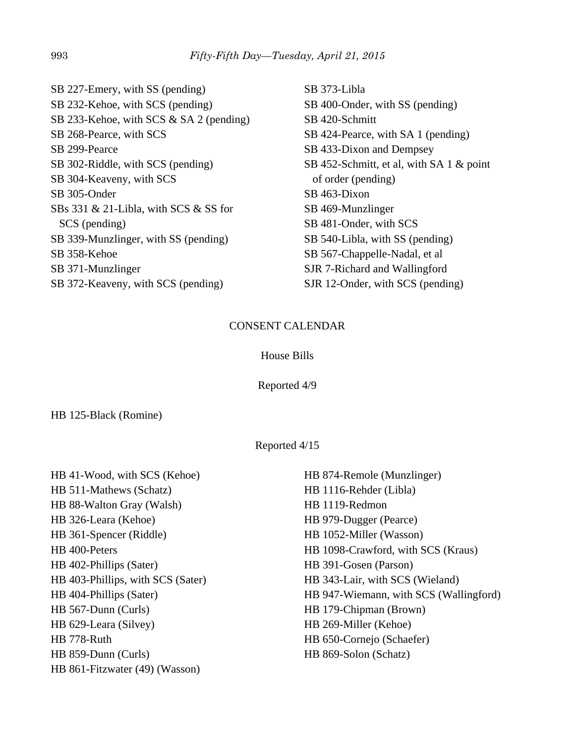SB 227-Emery, with SS (pending) SB 232-Kehoe, with SCS (pending) SB 233-Kehoe, with SCS & SA 2 (pending) SB 268-Pearce, with SCS SB 299-Pearce SB 302-Riddle, with SCS (pending) SB 304-Keaveny, with SCS SB 305-Onder SBs 331 & 21-Libla, with SCS & SS for SCS (pending) SB 339-Munzlinger, with SS (pending) SB 358-Kehoe SB 371-Munzlinger SB 372-Keaveny, with SCS (pending)

SB 373-Libla SB 400-Onder, with SS (pending) SB 420-Schmitt SB 424-Pearce, with SA 1 (pending) SB 433-Dixon and Dempsey SB 452-Schmitt, et al, with SA 1 & point of order (pending) SB 463-Dixon SB 469-Munzlinger SB 481-Onder, with SCS SB 540-Libla, with SS (pending) SB 567-Chappelle-Nadal, et al SJR 7-Richard and Wallingford SJR 12-Onder, with SCS (pending)

## CONSENT CALENDAR

## House Bills

Reported 4/9

HB 125-Black (Romine)

Reported 4/15

| HB 41-Wood, with SCS (Kehoe)      | HB 874-Remole (Munzlinger)             |
|-----------------------------------|----------------------------------------|
| HB 511-Mathews (Schatz)           | HB 1116-Rehder (Libla)                 |
| HB 88-Walton Gray (Walsh)         | HB 1119-Redmon                         |
| HB 326-Leara (Kehoe)              | HB 979-Dugger (Pearce)                 |
| HB 361-Spencer (Riddle)           | HB 1052-Miller (Wasson)                |
| HB 400-Peters                     | HB 1098-Crawford, with SCS (Kraus)     |
| HB 402-Phillips (Sater)           | HB 391-Gosen (Parson)                  |
| HB 403-Phillips, with SCS (Sater) | HB 343-Lair, with SCS (Wieland)        |
| HB 404-Phillips (Sater)           | HB 947-Wiemann, with SCS (Wallingford) |
| HB 567-Dunn (Curls)               | HB 179-Chipman (Brown)                 |
| HB 629-Leara (Silvey)             | HB 269-Miller (Kehoe)                  |
| HB 778-Ruth                       | HB 650-Cornejo (Schaefer)              |
| HB 859-Dunn (Curls)               | HB 869-Solon (Schatz)                  |
| HB 861-Fitzwater (49) (Wasson)    |                                        |
|                                   |                                        |